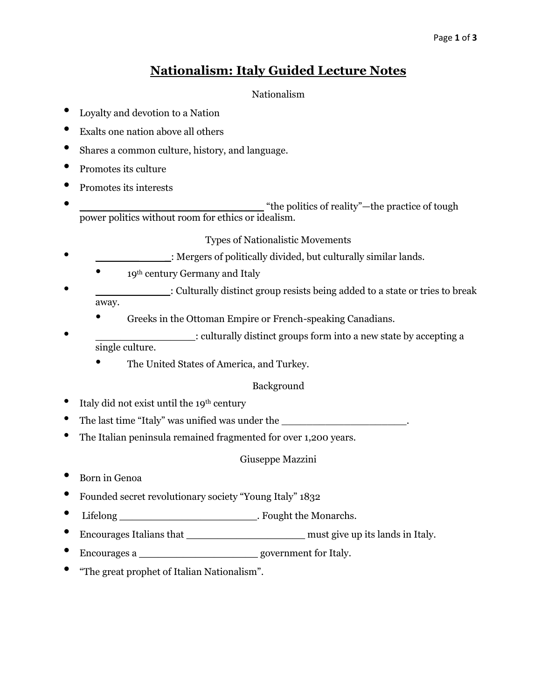# **Nationalism: Italy Guided Lecture Notes**

# Nationalism

- Loyalty and devotion to a Nation
- Exalts one nation above all others
- Shares a common culture, history, and language.
- Promotes its culture
- Promotes its interests
- **\_\_\_\_\_\_\_\_\_\_\_\_\_\_\_\_\_\_\_\_\_\_\_\_\_\_\_** "the politics of reality"—the practice of tough power politics without room for ethics or idealism.

## Types of Nationalistic Movements

- \_\_\_\_\_\_\_ \_: Mergers of politically divided, but culturally similar lands.
	- 19<sup>th</sup> century Germany and Italy
- \_\_\_\_\_\_\_\_\_\_\_\_: Culturally distinct group resists being added to a state or tries to break away.
	- Greeks in the Ottoman Empire or French-speaking Canadians.
	- : culturally distinct groups form into a new state by accepting a single culture.
		- The United States of America, and Turkey.

# Background

- Italy did not exist until the 19<sup>th</sup> century
- The last time "Italy" was unified was under the  $\blacksquare$
- The Italian peninsula remained fragmented for over 1,200 years.

# Giuseppe Mazzini

- Born in Genoa
- Founded secret revolutionary society "Young Italy" 1832
- Lifelong \_\_\_\_\_\_\_\_\_\_\_\_\_\_\_\_\_\_\_\_\_\_\_\_\_\_\_. Fought the Monarchs.
- Encourages Italians that \_\_\_\_\_\_\_\_\_\_\_\_\_\_\_\_\_\_\_ must give up its lands in Italy.
- Encourages a \_\_\_\_\_\_\_\_\_\_\_\_\_\_\_\_\_\_\_ government for Italy.
- "The great prophet of Italian Nationalism".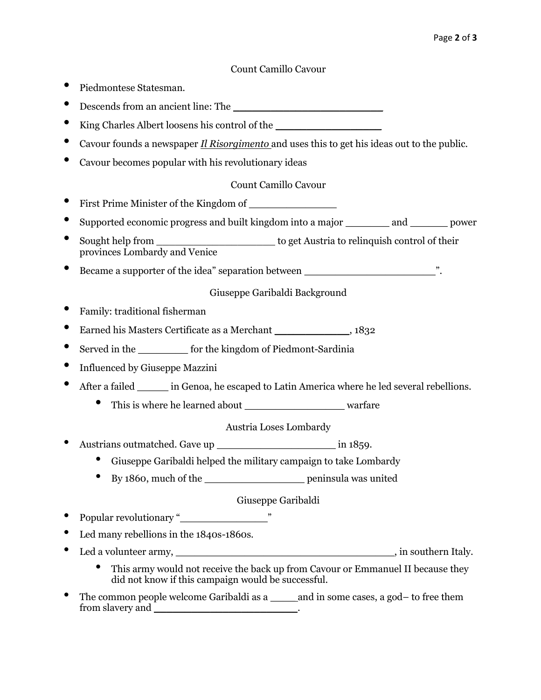Count Camillo Cavour

- Piedmontese Statesman.
- Descends from an ancient line: The
- King Charles Albert loosens his control of the
- Cavour founds a newspaper *Il Risorgimento* and uses this to get his ideas out to the public.
- Cavour becomes popular with his revolutionary ideas

## Count Camillo Cavour

- First Prime Minister of the Kingdom of \_\_\_\_\_\_\_\_\_\_\_\_\_\_
- Supported economic progress and built kingdom into a major \_\_\_\_\_\_\_ and \_\_\_\_\_\_ power
- Sought help from \_\_\_\_\_\_\_\_\_\_\_\_\_\_\_\_\_\_\_ to get Austria to relinquish control of their provinces Lombardy and Venice
- Became a supporter of the idea" separation between \_\_\_\_\_\_\_\_\_\_\_\_\_\_\_\_\_\_\_\_\_\_\_\_\_\_\_\_\_\_.

#### Giuseppe Garibaldi Background

- Family: traditional fisherman
- Earned his Masters Certificate as a Merchant \_\_\_\_\_\_\_\_\_\_\_\_, 1832
- Served in the \_\_\_\_\_\_\_\_ for the kingdom of Piedmont-Sardinia
- Influenced by Giuseppe Mazzini
- After a failed in Genoa, he escaped to Latin America where he led several rebellions.
	- This is where he learned about warfare

#### Austria Loses Lombardy

- Austrians outmatched. Gave up \_\_\_\_\_\_\_\_\_\_\_\_\_\_\_\_\_\_\_ in 1859.
	- Giuseppe Garibaldi helped the military campaign to take Lombardy
	- By 1860, much of the \_\_\_\_\_\_\_\_\_\_\_\_\_\_\_\_ peninsula was united

#### Giuseppe Garibaldi

- Popular revolutionary "\_\_\_\_\_\_\_\_\_\_\_\_\_\_"
- Led many rebellions in the 1840s-1860s.
- Led a volunteer army, the same state of the state of the state of the state of the state of the state of the state of the state of the state of the state of the state of the state of the state of the state of the state o
	- This army would not receive the back up from Cavour or Emmanuel II because they did not know if this campaign would be successful.
- The common people welcome Garibaldi as a \_\_\_\_\_ and in some cases, a god– to free them from slavery and \_\_\_\_\_\_\_\_\_\_\_\_\_\_\_\_\_\_\_\_\_\_\_.